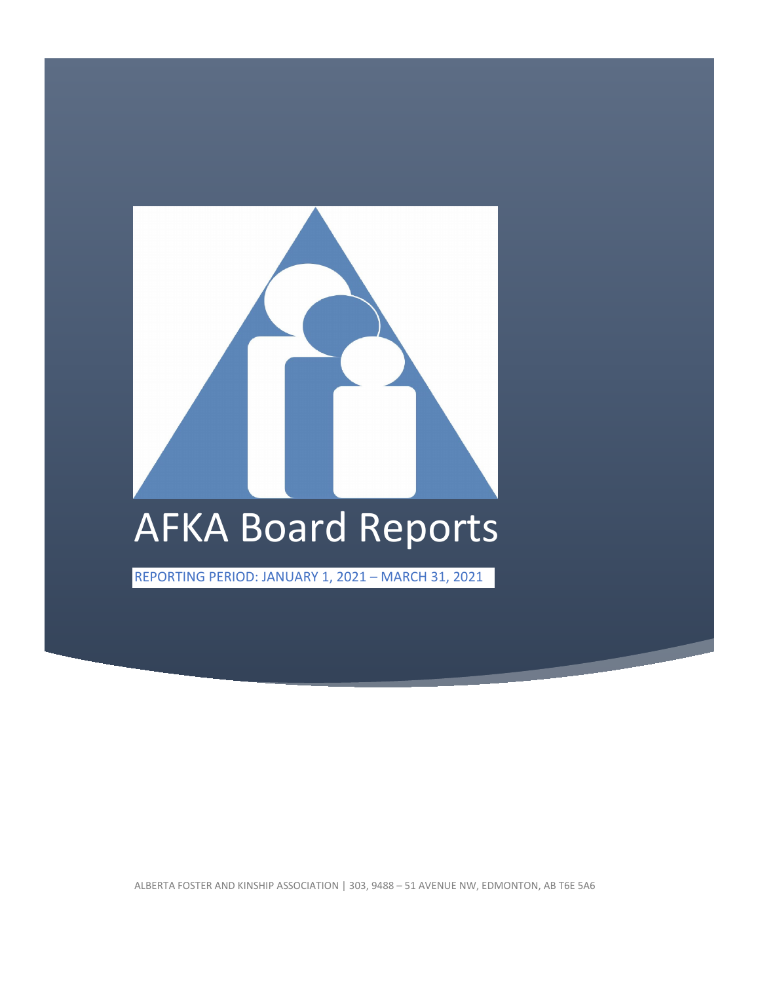

ALBERTA FOSTER AND KINSHIP ASSOCIATION | 303, 9488 – 51 AVENUE NW, EDMONTON, AB T6E 5A6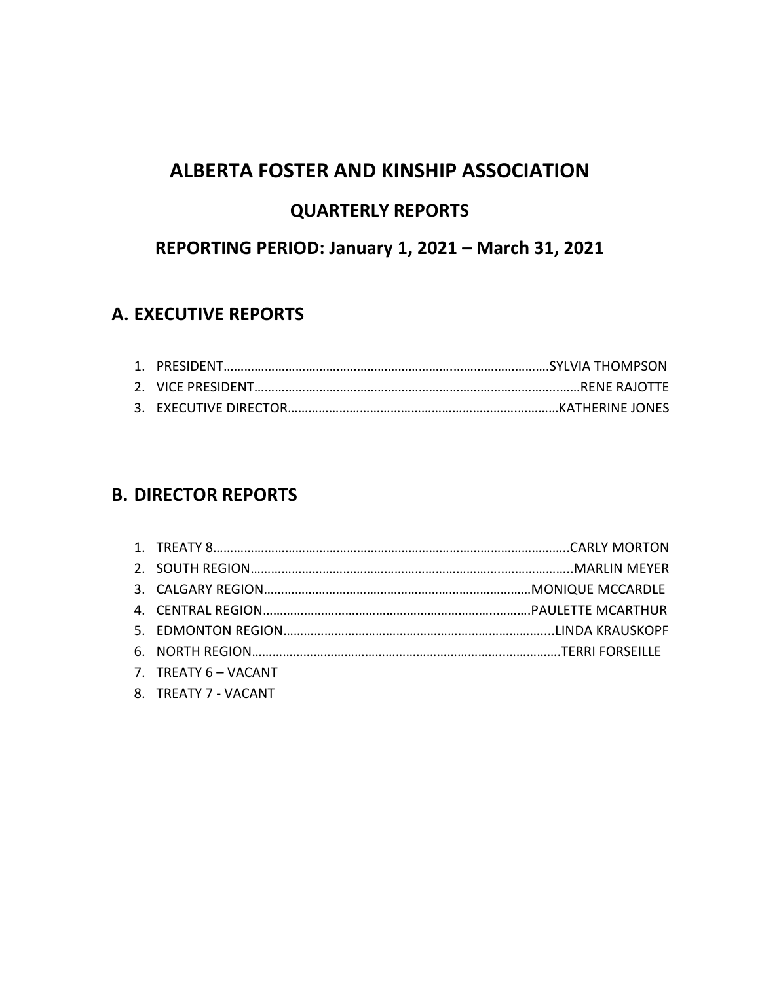# **ALBERTA FOSTER AND KINSHIP ASSOCIATION**

# **QUARTERLY REPORTS**

# **REPORTING PERIOD: January 1, 2021 – March 31, 2021**

## **A. EXECUTIVE REPORTS**

# **B. DIRECTOR REPORTS**

| 7. TREATY 6 - VACANT |  |
|----------------------|--|
| 8. TREATY 7 - VACANT |  |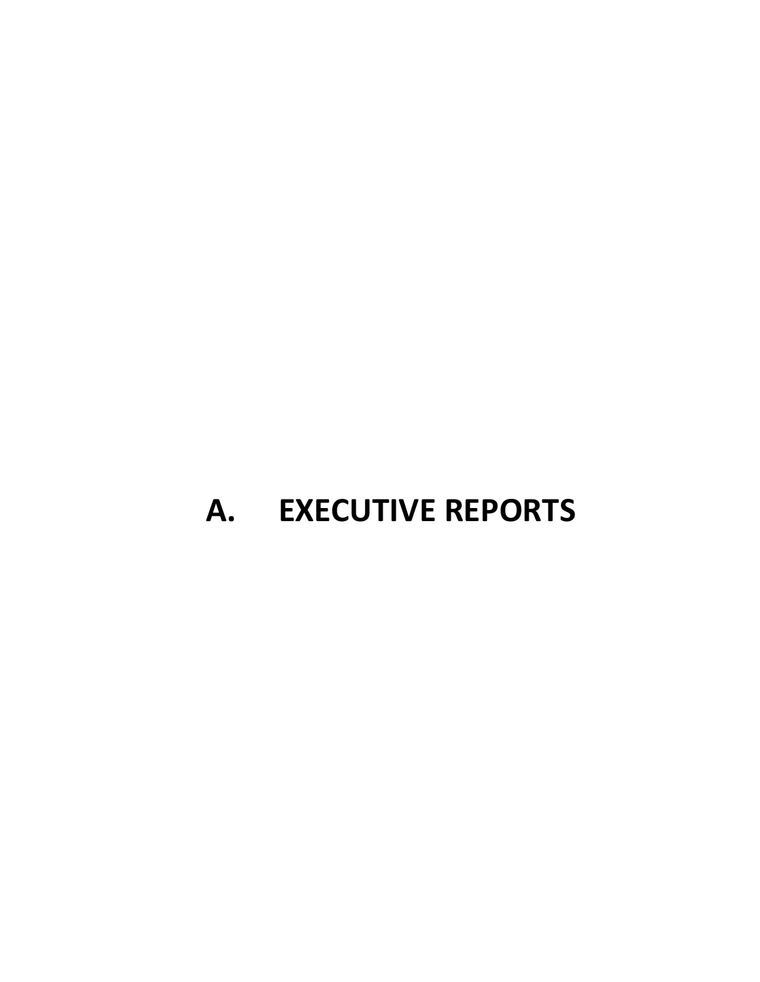# **A. EXECUTIVE REPORTS**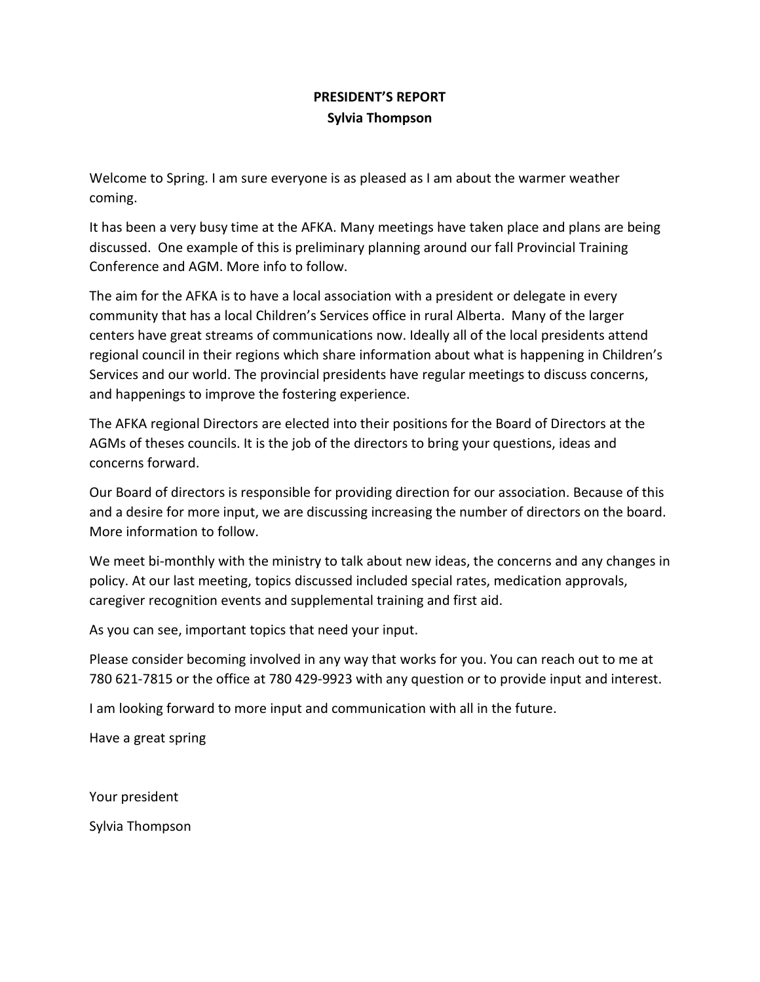## **PRESIDENT'S REPORT Sylvia Thompson**

Welcome to Spring. I am sure everyone is as pleased as I am about the warmer weather coming.

It has been a very busy time at the AFKA. Many meetings have taken place and plans are being discussed. One example of this is preliminary planning around our fall Provincial Training Conference and AGM. More info to follow.

The aim for the AFKA is to have a local association with a president or delegate in every community that has a local Children's Services office in rural Alberta. Many of the larger centers have great streams of communications now. Ideally all of the local presidents attend regional council in their regions which share information about what is happening in Children's Services and our world. The provincial presidents have regular meetings to discuss concerns, and happenings to improve the fostering experience.

The AFKA regional Directors are elected into their positions for the Board of Directors at the AGMs of theses councils. It is the job of the directors to bring your questions, ideas and concerns forward.

Our Board of directors is responsible for providing direction for our association. Because of this and a desire for more input, we are discussing increasing the number of directors on the board. More information to follow.

We meet bi-monthly with the ministry to talk about new ideas, the concerns and any changes in policy. At our last meeting, topics discussed included special rates, medication approvals, caregiver recognition events and supplemental training and first aid.

As you can see, important topics that need your input.

Please consider becoming involved in any way that works for you. You can reach out to me at 780 621-7815 or the office at 780 429-9923 with any question or to provide input and interest.

I am looking forward to more input and communication with all in the future.

Have a great spring

Your president

Sylvia Thompson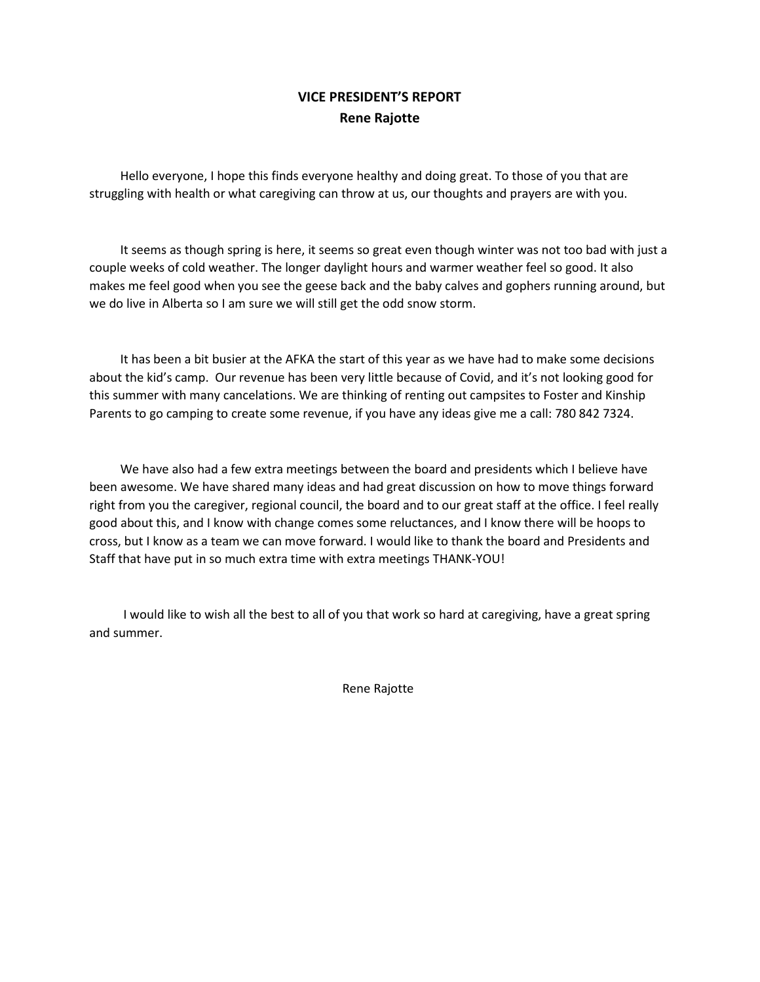## **VICE PRESIDENT'S REPORT Rene Rajotte**

 Hello everyone, I hope this finds everyone healthy and doing great. To those of you that are struggling with health or what caregiving can throw at us, our thoughts and prayers are with you.

 It seems as though spring is here, it seems so great even though winter was not too bad with just a couple weeks of cold weather. The longer daylight hours and warmer weather feel so good. It also makes me feel good when you see the geese back and the baby calves and gophers running around, but we do live in Alberta so I am sure we will still get the odd snow storm.

 It has been a bit busier at the AFKA the start of this year as we have had to make some decisions about the kid's camp. Our revenue has been very little because of Covid, and it's not looking good for this summer with many cancelations. We are thinking of renting out campsites to Foster and Kinship Parents to go camping to create some revenue, if you have any ideas give me a call: 780 842 7324.

We have also had a few extra meetings between the board and presidents which I believe have been awesome. We have shared many ideas and had great discussion on how to move things forward right from you the caregiver, regional council, the board and to our great staff at the office. I feel really good about this, and I know with change comes some reluctances, and I know there will be hoops to cross, but I know as a team we can move forward. I would like to thank the board and Presidents and Staff that have put in so much extra time with extra meetings THANK-YOU!

 I would like to wish all the best to all of you that work so hard at caregiving, have a great spring and summer.

Rene Rajotte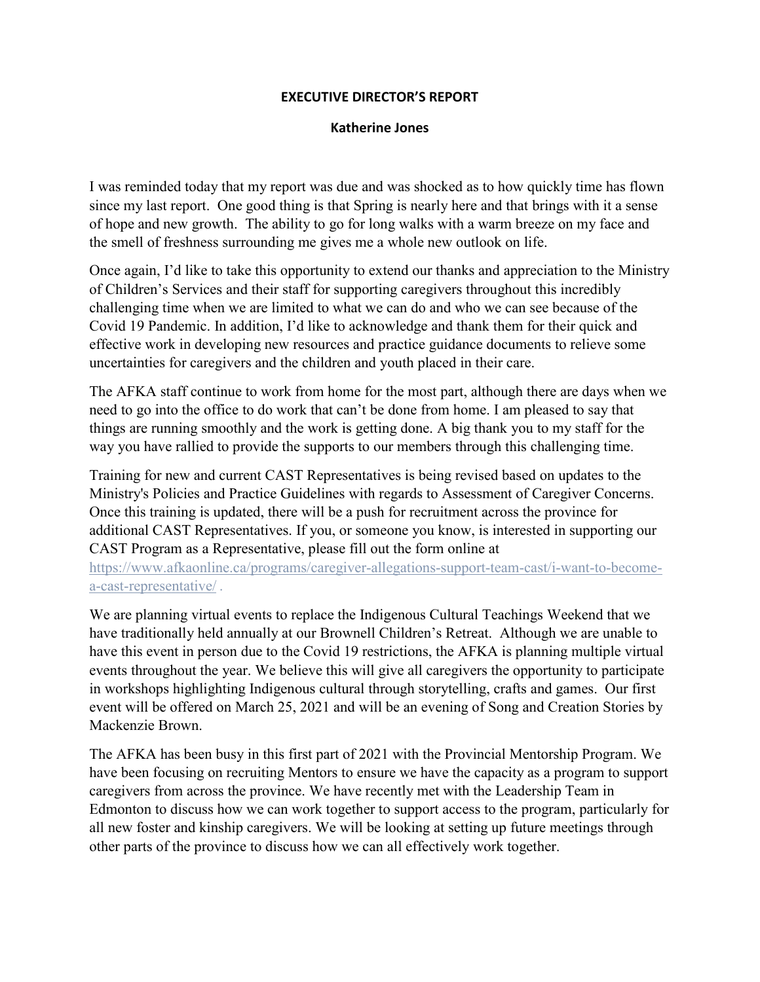#### **EXECUTIVE DIRECTOR'S REPORT**

#### **Katherine Jones**

I was reminded today that my report was due and was shocked as to how quickly time has flown since my last report. One good thing is that Spring is nearly here and that brings with it a sense of hope and new growth. The ability to go for long walks with a warm breeze on my face and the smell of freshness surrounding me gives me a whole new outlook on life.

Once again, I'd like to take this opportunity to extend our thanks and appreciation to the Ministry of Children's Services and their staff for supporting caregivers throughout this incredibly challenging time when we are limited to what we can do and who we can see because of the Covid 19 Pandemic. In addition, I'd like to acknowledge and thank them for their quick and effective work in developing new resources and practice guidance documents to relieve some uncertainties for caregivers and the children and youth placed in their care.

The AFKA staff continue to work from home for the most part, although there are days when we need to go into the office to do work that can't be done from home. I am pleased to say that things are running smoothly and the work is getting done. A big thank you to my staff for the way you have rallied to provide the supports to our members through this challenging time.

Training for new and current CAST Representatives is being revised based on updates to the Ministry's Policies and Practice Guidelines with regards to Assessment of Caregiver Concerns. Once this training is updated, there will be a push for recruitment across the province for additional CAST Representatives. If you, or someone you know, is interested in supporting our CAST Program as a Representative, please fill out the form online at

[https://www.afkaonline.ca/programs/caregiver-allegations-support-team-cast/i-want-to-become](https://www.afkaonline.ca/programs/caregiver-allegations-support-team-cast/i-want-to-become-a-cast-representative/)[a-cast-representative/](https://www.afkaonline.ca/programs/caregiver-allegations-support-team-cast/i-want-to-become-a-cast-representative/) .

We are planning virtual events to replace the Indigenous Cultural Teachings Weekend that we have traditionally held annually at our Brownell Children's Retreat. Although we are unable to have this event in person due to the Covid 19 restrictions, the AFKA is planning multiple virtual events throughout the year. We believe this will give all caregivers the opportunity to participate in workshops highlighting Indigenous cultural through storytelling, crafts and games. Our first event will be offered on March 25, 2021 and will be an evening of Song and Creation Stories by Mackenzie Brown.

The AFKA has been busy in this first part of 2021 with the Provincial Mentorship Program. We have been focusing on recruiting Mentors to ensure we have the capacity as a program to support caregivers from across the province. We have recently met with the Leadership Team in Edmonton to discuss how we can work together to support access to the program, particularly for all new foster and kinship caregivers. We will be looking at setting up future meetings through other parts of the province to discuss how we can all effectively work together.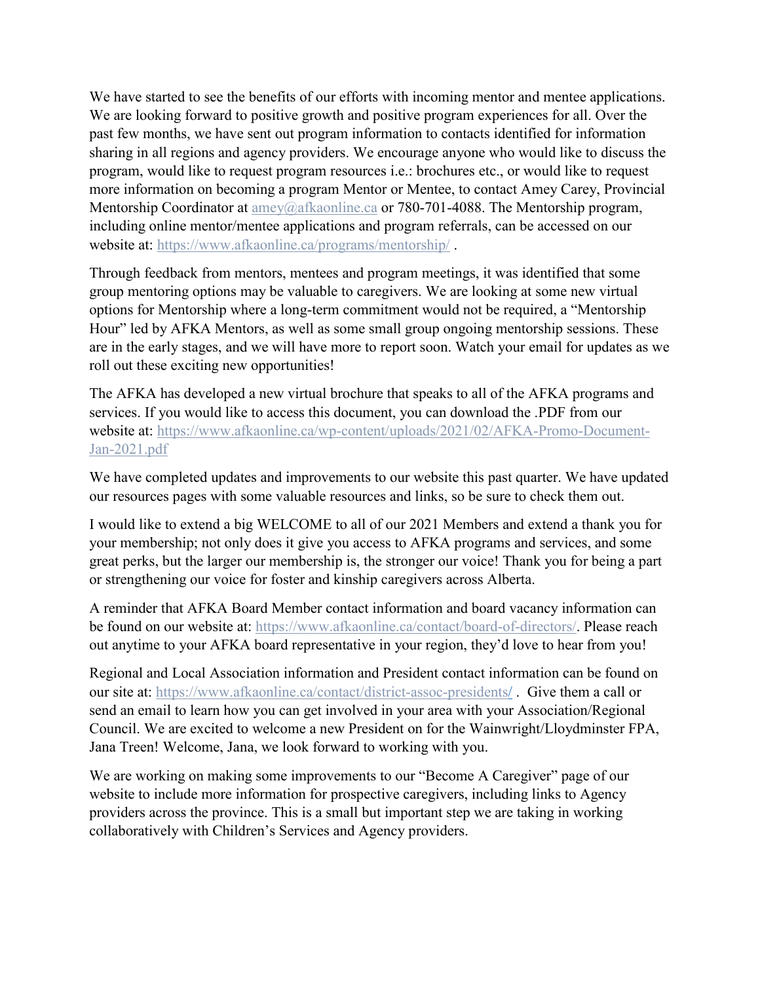We have started to see the benefits of our efforts with incoming mentor and mentee applications. We are looking forward to positive growth and positive program experiences for all. Over the past few months, we have sent out program information to contacts identified for information sharing in all regions and agency providers. We encourage anyone who would like to discuss the program, would like to request program resources i.e.: brochures etc., or would like to request more information on becoming a program Mentor or Mentee, to contact Amey Carey, Provincial Mentorship Coordinator at [amey@afkaonline.ca](mailto:amey@afkaonline.ca) or 780-701-4088. The Mentorship program, including online mentor/mentee applications and program referrals, can be accessed on our website at:<https://www.afkaonline.ca/programs/mentorship/> .

Through feedback from mentors, mentees and program meetings, it was identified that some group mentoring options may be valuable to caregivers. We are looking at some new virtual options for Mentorship where a long-term commitment would not be required, a "Mentorship Hour" led by AFKA Mentors, as well as some small group ongoing mentorship sessions. These are in the early stages, and we will have more to report soon. Watch your email for updates as we roll out these exciting new opportunities!

The AFKA has developed a new virtual brochure that speaks to all of the AFKA programs and services. If you would like to access this document, you can download the .PDF from our website at: [https://www.afkaonline.ca/wp-content/uploads/2021/02/AFKA-Promo-Document-](https://www.afkaonline.ca/wp-content/uploads/2021/02/AFKA-Promo-Document-Jan-2021.pdf)[Jan-2021.pdf](https://www.afkaonline.ca/wp-content/uploads/2021/02/AFKA-Promo-Document-Jan-2021.pdf)

We have completed updates and improvements to our website this past quarter. We have updated our resources pages with some valuable resources and links, so be sure to check them out.

I would like to extend a big WELCOME to all of our 2021 Members and extend a thank you for your membership; not only does it give you access to AFKA programs and services, and some great perks, but the larger our membership is, the stronger our voice! Thank you for being a part or strengthening our voice for foster and kinship caregivers across Alberta.

A reminder that AFKA Board Member contact information and board vacancy information can be found on our website at: [https://www.afkaonline.ca/contact/board-of-directors/.](https://www.afkaonline.ca/contact/board-of-directors/) Please reach out anytime to your AFKA board representative in your region, they'd love to hear from you!

Regional and Local Association information and President contact information can be found on our site at:<https://www.afkaonline.ca/contact/district-assoc-presidents/> . Give them a call or send an email to learn how you can get involved in your area with your Association/Regional Council. We are excited to welcome a new President on for the Wainwright/Lloydminster FPA, Jana Treen! Welcome, Jana, we look forward to working with you.

We are working on making some improvements to our "Become A Caregiver" page of our website to include more information for prospective caregivers, including links to Agency providers across the province. This is a small but important step we are taking in working collaboratively with Children's Services and Agency providers.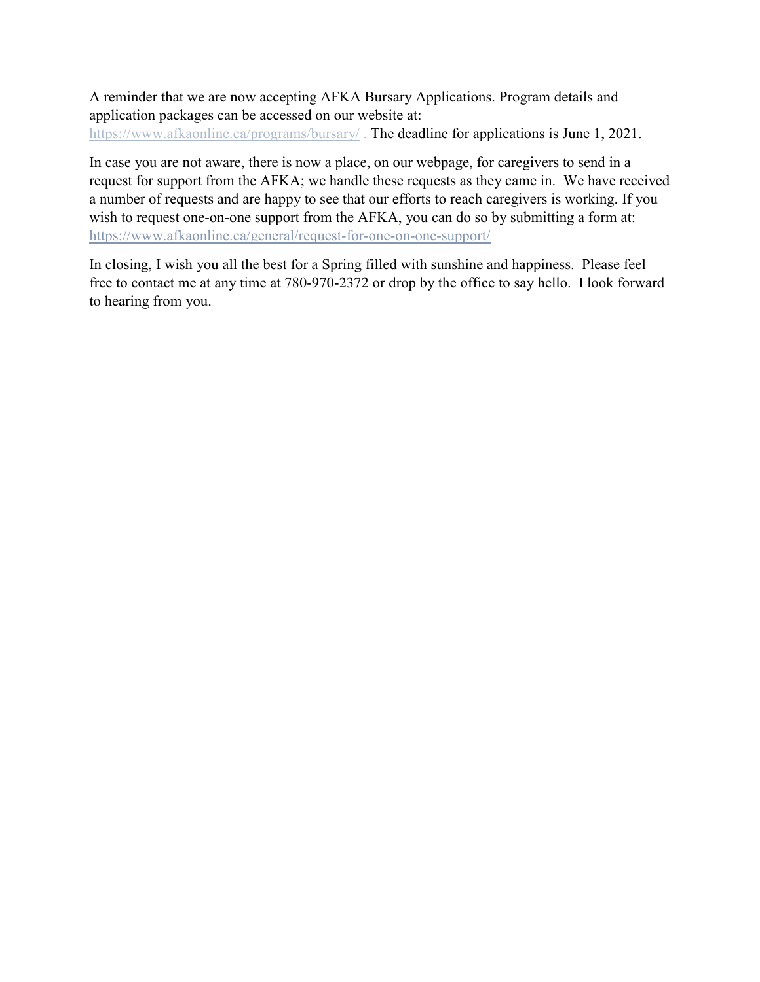A reminder that we are now accepting AFKA Bursary Applications. Program details and application packages can be accessed on our website at: <https://www.afkaonline.ca/programs/bursary/>. The deadline for applications is June 1, 2021.

In case you are not aware, there is now a place, on our webpage, for caregivers to send in a request for support from the AFKA; we handle these requests as they came in. We have received a number of requests and are happy to see that our efforts to reach caregivers is working. If you wish to request one-on-one support from the AFKA, you can do so by submitting a form at: <https://www.afkaonline.ca/general/request-for-one-on-one-support/>

In closing, I wish you all the best for a Spring filled with sunshine and happiness. Please feel free to contact me at any time at 780-970-2372 or drop by the office to say hello. I look forward to hearing from you.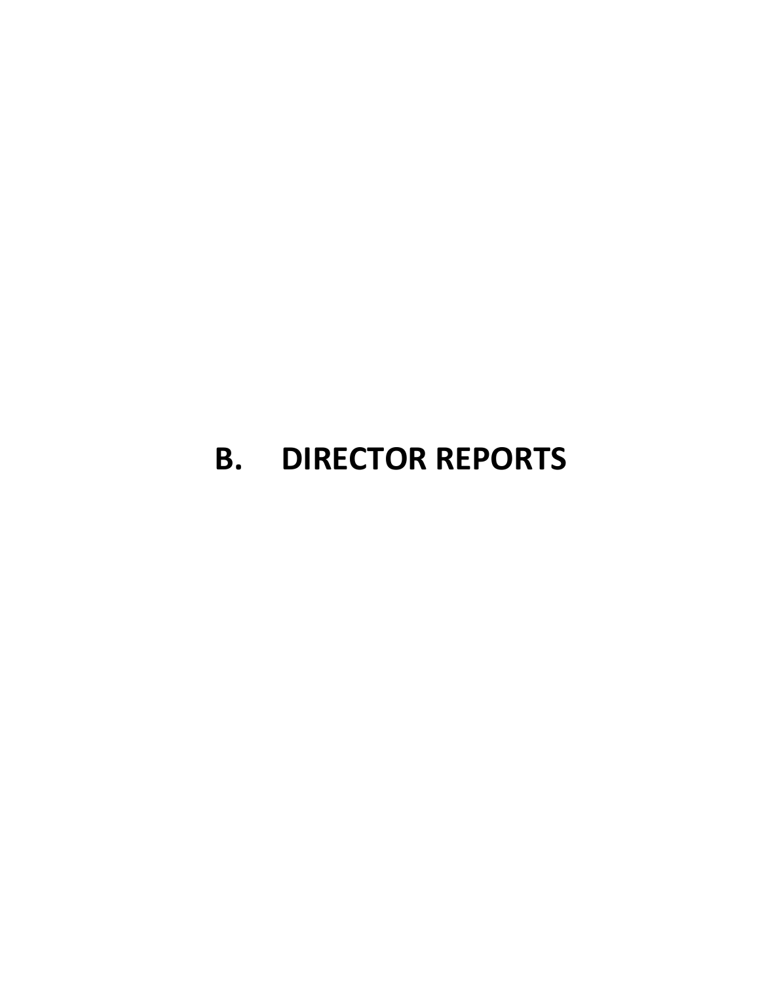# **B. DIRECTOR REPORTS**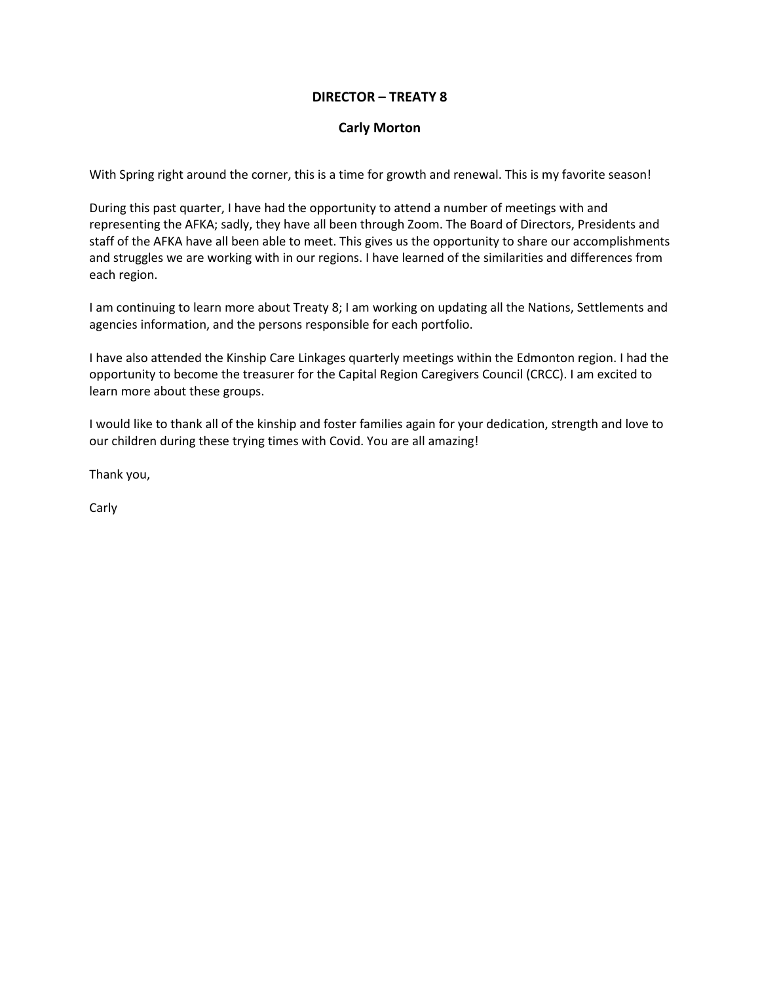#### **DIRECTOR – TREATY 8**

#### **Carly Morton**

With Spring right around the corner, this is a time for growth and renewal. This is my favorite season!

During this past quarter, I have had the opportunity to attend a number of meetings with and representing the AFKA; sadly, they have all been through Zoom. The Board of Directors, Presidents and staff of the AFKA have all been able to meet. This gives us the opportunity to share our accomplishments and struggles we are working with in our regions. I have learned of the similarities and differences from each region.

I am continuing to learn more about Treaty 8; I am working on updating all the Nations, Settlements and agencies information, and the persons responsible for each portfolio.

I have also attended the Kinship Care Linkages quarterly meetings within the Edmonton region. I had the opportunity to become the treasurer for the Capital Region Caregivers Council (CRCC). I am excited to learn more about these groups.

I would like to thank all of the kinship and foster families again for your dedication, strength and love to our children during these trying times with Covid. You are all amazing!

Thank you,

Carly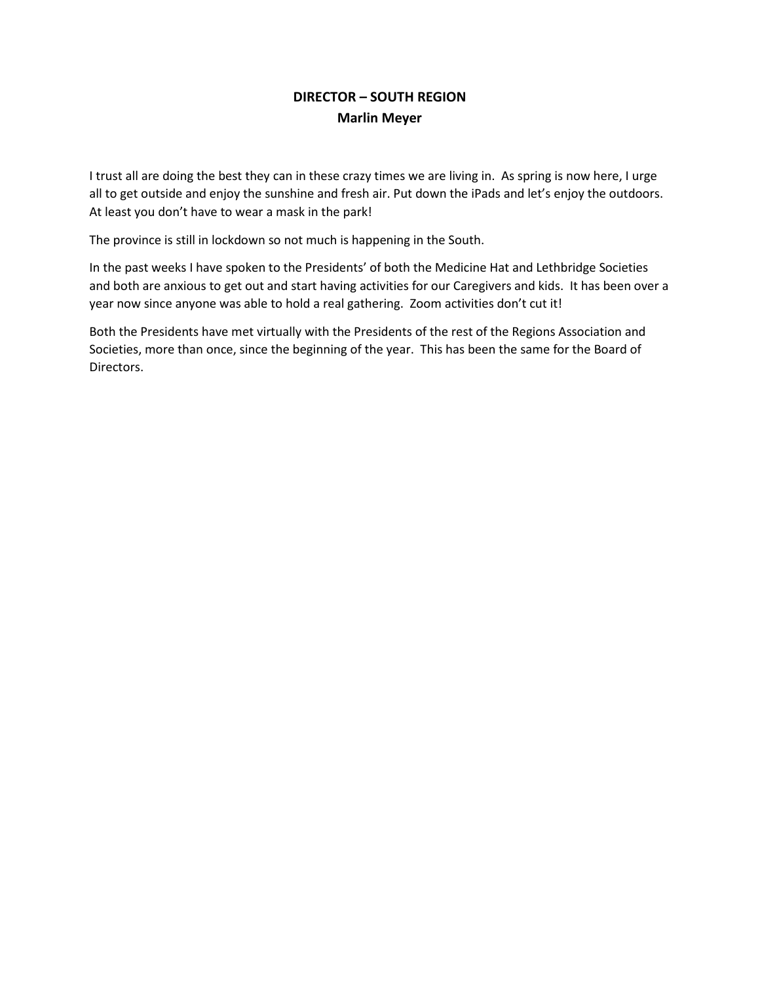## **DIRECTOR – SOUTH REGION Marlin Meyer**

I trust all are doing the best they can in these crazy times we are living in. As spring is now here, I urge all to get outside and enjoy the sunshine and fresh air. Put down the iPads and let's enjoy the outdoors. At least you don't have to wear a mask in the park!

The province is still in lockdown so not much is happening in the South.

In the past weeks I have spoken to the Presidents' of both the Medicine Hat and Lethbridge Societies and both are anxious to get out and start having activities for our Caregivers and kids. It has been over a year now since anyone was able to hold a real gathering. Zoom activities don't cut it!

Both the Presidents have met virtually with the Presidents of the rest of the Regions Association and Societies, more than once, since the beginning of the year. This has been the same for the Board of Directors.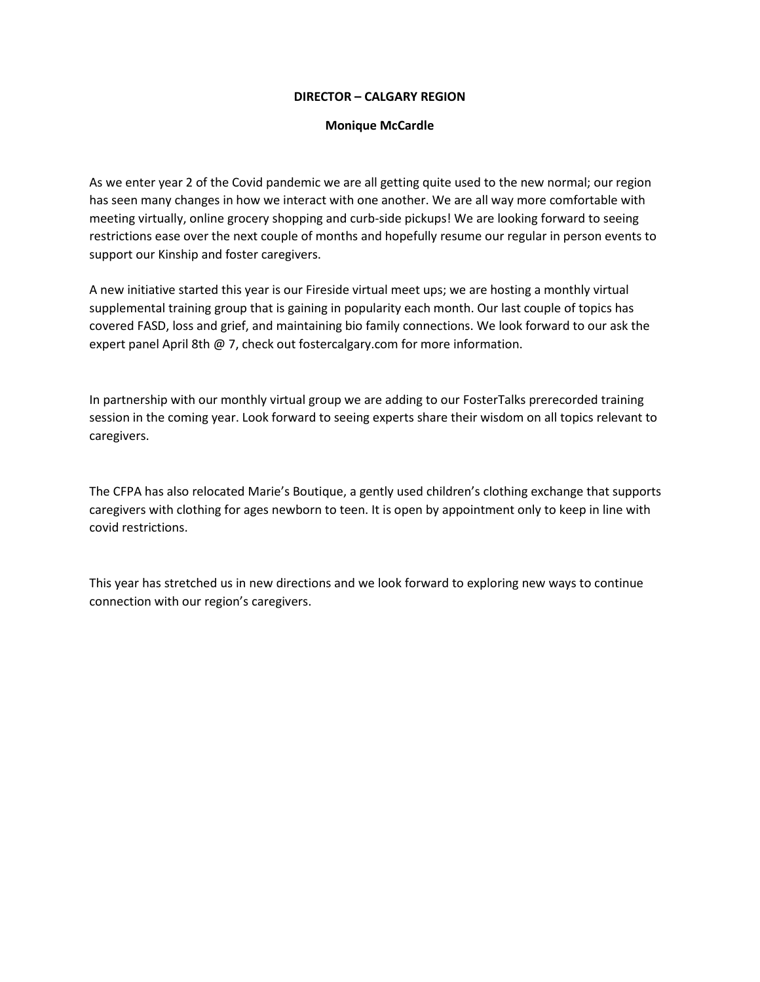#### **DIRECTOR – CALGARY REGION**

#### **Monique McCardle**

As we enter year 2 of the Covid pandemic we are all getting quite used to the new normal; our region has seen many changes in how we interact with one another. We are all way more comfortable with meeting virtually, online grocery shopping and curb-side pickups! We are looking forward to seeing restrictions ease over the next couple of months and hopefully resume our regular in person events to support our Kinship and foster caregivers.

A new initiative started this year is our Fireside virtual meet ups; we are hosting a monthly virtual supplemental training group that is gaining in popularity each month. Our last couple of topics has covered FASD, loss and grief, and maintaining bio family connections. We look forward to our ask the expert panel April 8th @ 7, check out fostercalgary.com for more information.

In partnership with our monthly virtual group we are adding to our FosterTalks prerecorded training session in the coming year. Look forward to seeing experts share their wisdom on all topics relevant to caregivers.

The CFPA has also relocated Marie's Boutique, a gently used children's clothing exchange that supports caregivers with clothing for ages newborn to teen. It is open by appointment only to keep in line with covid restrictions.

This year has stretched us in new directions and we look forward to exploring new ways to continue connection with our region's caregivers.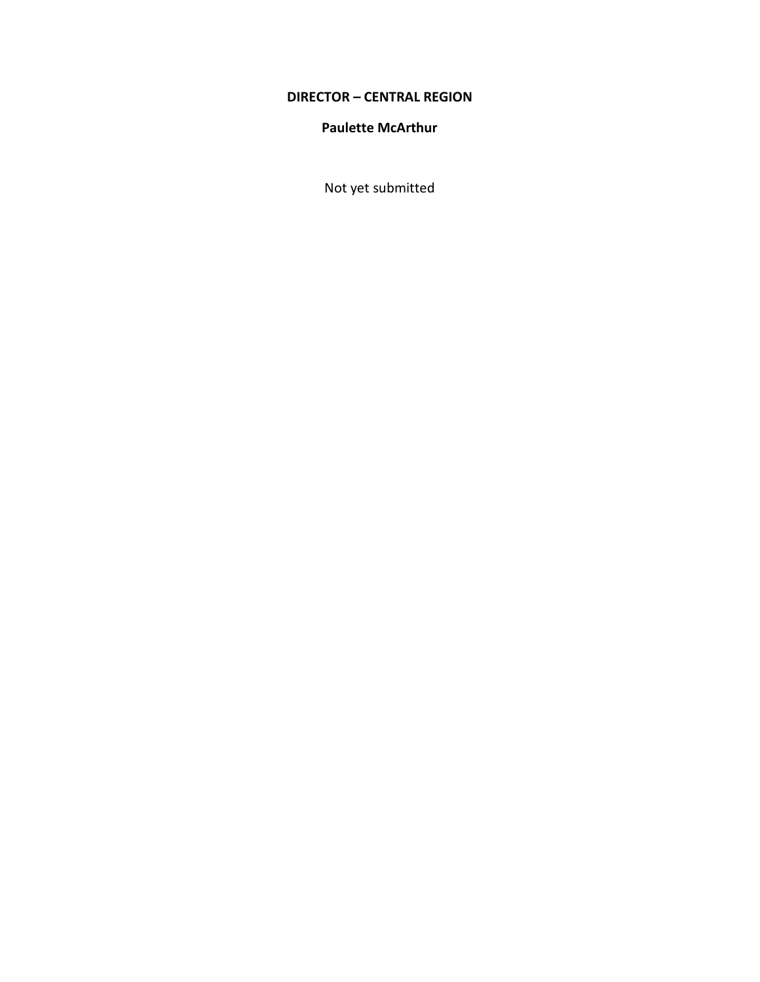## **DIRECTOR – CENTRAL REGION**

#### **Paulette McArthur**

Not yet submitted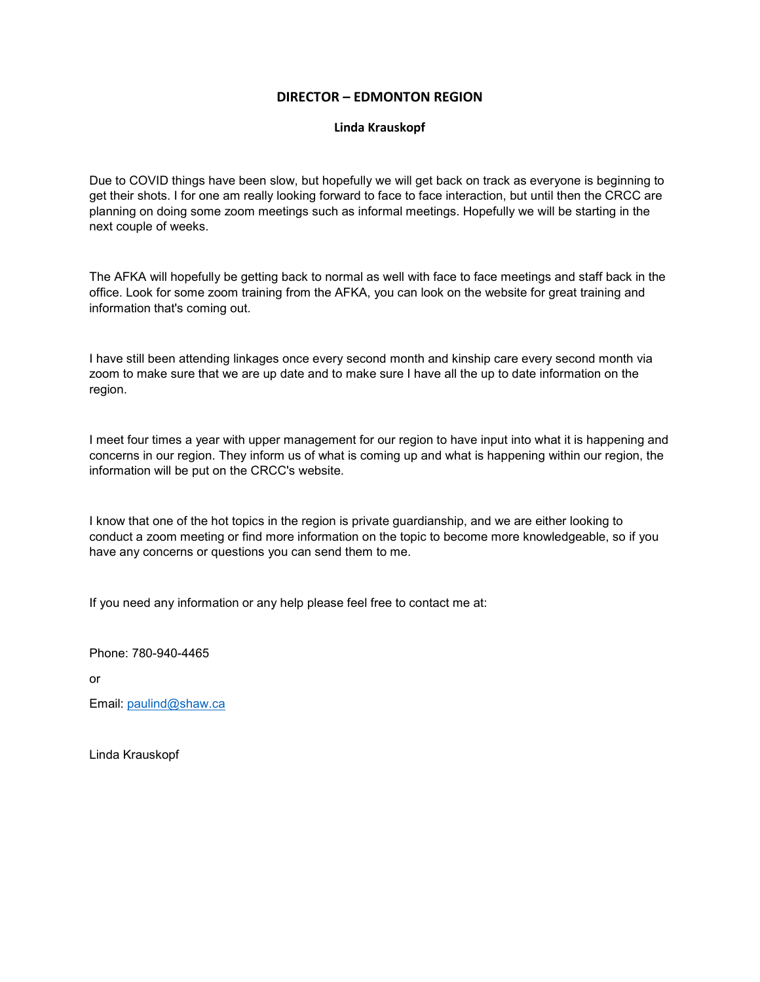#### **DIRECTOR – EDMONTON REGION**

#### **Linda Krauskopf**

Due to COVID things have been slow, but hopefully we will get back on track as everyone is beginning to get their shots. I for one am really looking forward to face to face interaction, but until then the CRCC are planning on doing some zoom meetings such as informal meetings. Hopefully we will be starting in the next couple of weeks.

The AFKA will hopefully be getting back to normal as well with face to face meetings and staff back in the office. Look for some zoom training from the AFKA, you can look on the website for great training and information that's coming out.

I have still been attending linkages once every second month and kinship care every second month via zoom to make sure that we are up date and to make sure I have all the up to date information on the region.

I meet four times a year with upper management for our region to have input into what it is happening and concerns in our region. They inform us of what is coming up and what is happening within our region, the information will be put on the CRCC's website.

I know that one of the hot topics in the region is private guardianship, and we are either looking to conduct a zoom meeting or find more information on the topic to become more knowledgeable, so if you have any concerns or questions you can send them to me.

If you need any information or any help please feel free to contact me at:

Phone: 780-940-4465

or

Email: [paulind@shaw.ca](mailto:paulind@shaw.ca)

Linda Krauskopf